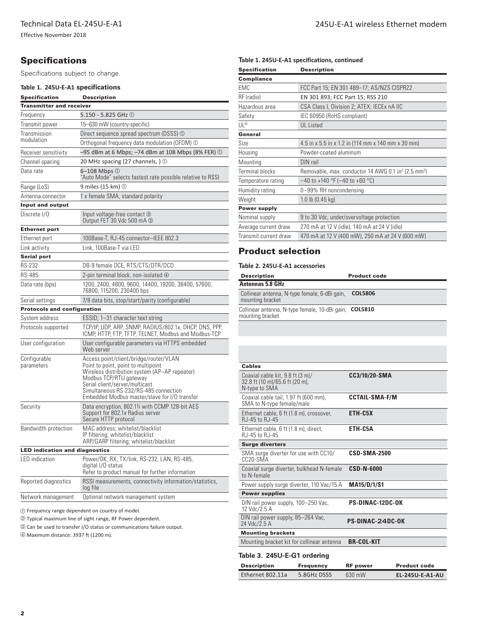Effective November 2018

# **Specifications**

Specifications subject to change.

### **Table 1. 245U-E-A1 specifications**

| <b>Specification</b>                  | Description                                                                                                                                                                                                                                                                          |  |  |
|---------------------------------------|--------------------------------------------------------------------------------------------------------------------------------------------------------------------------------------------------------------------------------------------------------------------------------------|--|--|
| <b>Transmitter and receiver</b>       |                                                                                                                                                                                                                                                                                      |  |  |
| Frequency                             | $5.150 - 5.825$ GHz $\circledcirc$                                                                                                                                                                                                                                                   |  |  |
| Transmit power                        | 15-630 mW (country-specific)                                                                                                                                                                                                                                                         |  |  |
| Transmission                          | Direct sequence spread spectrum (DSSS) $\odot$                                                                                                                                                                                                                                       |  |  |
| modulation                            | Orthogonal frequency data modulation (OFDM) ①                                                                                                                                                                                                                                        |  |  |
| Receiver sensitivity                  | $-95$ dBm at 6 Mbps; $-74$ dBm at 108 Mbps (8% FER) $\odot$                                                                                                                                                                                                                          |  |  |
| Channel spacing                       | 20 MHz spacing (27 channels, ) $\circledcirc$                                                                                                                                                                                                                                        |  |  |
| Data rate                             | 6-108 Mbps 1<br>"Auto Mode" selects fastest rate possible relative to RSSI                                                                                                                                                                                                           |  |  |
| Range (LoS)                           | 9 miles (15 km) 1                                                                                                                                                                                                                                                                    |  |  |
| Antenna connector                     | 1 x female SMA, standard polarity                                                                                                                                                                                                                                                    |  |  |
| <b>Input and output</b>               |                                                                                                                                                                                                                                                                                      |  |  |
| Discrete I/O                          | Input voltage-free contact 3<br>Output FET 30 Vdc 500 mA 3                                                                                                                                                                                                                           |  |  |
| <b>Ethernet port</b>                  |                                                                                                                                                                                                                                                                                      |  |  |
| Ethernet port                         | 100Base-T, RJ-45 connector-IEEE 802.3                                                                                                                                                                                                                                                |  |  |
| Link activity                         | Link, 100Base-T via LED                                                                                                                                                                                                                                                              |  |  |
| <b>Serial port</b>                    |                                                                                                                                                                                                                                                                                      |  |  |
| <b>RS-232</b>                         | DB-9 female DCE, RTS/CTS/DTR/DCD                                                                                                                                                                                                                                                     |  |  |
| <b>RS-485</b>                         | 2-pin terminal block, non-isolated 4                                                                                                                                                                                                                                                 |  |  |
| Data rate (bps)                       | 1200, 2400, 4800, 9600, 14400, 19200, 38400, 57600,<br>76800, 115200, 230400 bps                                                                                                                                                                                                     |  |  |
| Serial settings                       | 7/8 data bits, stop/start/parity (configurable)                                                                                                                                                                                                                                      |  |  |
| <b>Protocols and configuration</b>    |                                                                                                                                                                                                                                                                                      |  |  |
| System address                        | ESSID; 1–31 character text string                                                                                                                                                                                                                                                    |  |  |
| Protocols supported                   | TCP/IP, UDP, ARP, SNMP, RADIUS/802.1x, DHCP, DNS, PPP,<br>ICMP, HTTP, FTP, TFTP, TELNET, Modbus and Modbus-TCP                                                                                                                                                                       |  |  |
| User configuration                    | User configurable parameters via HTTPS embedded<br>Web server                                                                                                                                                                                                                        |  |  |
| Configurable<br>parameters            | Access point/client/bridge/router/VLAN<br>Point to point, point to multipoint<br>Wireless distribution system (AP-AP repeater)<br>Modbus TCP/RTU gateway<br>Serial client/server/multicast<br>Simultaneous RS-232/RS-485 connection<br>Embedded Modbus master/slave for I/O transfer |  |  |
| Security                              | Data encryption, 802.11i with CCMP 128-bit AES<br>Support for 802.1x Radius server<br>Secure HTTP protocol                                                                                                                                                                           |  |  |
| Bandwidth protection                  | MAC address; whitelist/blacklist<br>IP filtering; whitelist/blacklist<br>ARP/GARP filtering; whitelist/blacklist                                                                                                                                                                     |  |  |
| <b>LED indication and diagnostics</b> |                                                                                                                                                                                                                                                                                      |  |  |
| LED indication                        | Power/OK, RX, TX/link, RS-232, LAN, RS-485,<br>digital I/O status<br>Refer to product manual for further information                                                                                                                                                                 |  |  |
| Reported diagnostics                  | RSSI measurements, connectivity information/statistics,<br>log file                                                                                                                                                                                                                  |  |  |
| Network management                    | Optional network management system                                                                                                                                                                                                                                                   |  |  |

� Frequency range dependent on country of model.

� Typical maximum line of sight range, RF Power dependent.

� Can be used to transfer I/O status or communications failure output.

� Maximum distance: 3937 ft (1200 m).

## **Table 1. 245U-E-A1 specifications, continued**

| <b>Specification</b>   | <b>Description</b>                                                          |  |  |
|------------------------|-----------------------------------------------------------------------------|--|--|
| <b>Compliance</b>      |                                                                             |  |  |
| <b>EMC</b>             | FCC Part 15; EN 301 489-17; AS/NZS CISPR22                                  |  |  |
| RF (radio)             | EN 301 893; FCC Part 15; RSS 210                                            |  |  |
| Hazardous area         | CSA Class I, Division 2; ATEX; IECEx nA IIC                                 |  |  |
| Safety                 | IEC 60950 (RoHS compliant)                                                  |  |  |
| UL®                    | <b>UL</b> Listed                                                            |  |  |
| General                |                                                                             |  |  |
| <b>Size</b>            | 4.5 in x 5.5 in x 1.2 in (114 mm x 140 mm x 30 mm)                          |  |  |
| Housing                | Powder-coated aluminum                                                      |  |  |
| Mounting               | DIN rail                                                                    |  |  |
| <b>Terminal blocks</b> | Removable, max. conductor 14 AWG 0.1 in <sup>2</sup> (2.5 mm <sup>2</sup> ) |  |  |
| Temperature rating     | $-40$ to +140 °F (-40 to +60 °C)                                            |  |  |
| Humidity rating        | 0-99% RH noncondensing                                                      |  |  |
| Weight                 | $1.0$ lb $(0.45$ kg)                                                        |  |  |
| <b>Power supply</b>    |                                                                             |  |  |
| Nominal supply         | 9 to 30 Vdc, under/overvoltage protection                                   |  |  |
| Average current draw   | 270 mA at 12 V (idle); 140 mA at 24 V (idle)                                |  |  |
| Transmit current draw  | 470 mA at 12 V (400 mW), 250 mA at 24 V (600 mW)                            |  |  |
|                        |                                                                             |  |  |

## Product selection

### **Table 2. 245U-E-A1 accessories**

| <b>Description</b>                                                         | <b>Product code</b> |
|----------------------------------------------------------------------------|---------------------|
| <b>Antennas 5.8 GHz</b>                                                    |                     |
| Collinear antenna, N-type female, 6-dBi gain,<br>mounting bracket          | <b>COL5806</b>      |
| Collinear antenna, N-type female, 10-dBi gain, COL5810<br>mounting bracket |                     |

| <b>Cables</b>                                                                       |                         |  |
|-------------------------------------------------------------------------------------|-------------------------|--|
| Coaxial cable kit, 9.8 ft (3 m)/<br>32.8 ft (10 m)/65.6 ft (20 m),<br>N-type to SMA | CC3/10/20-SMA           |  |
| Coaxial cable tail, 1.97 ft (600 mm),<br>SMA to N-type female/male                  | <b>CCTAIL-SMA-F/M</b>   |  |
| Ethernet cable, 6 ft (1.8 m), crossover,<br>RJ-45 to RJ-45                          | ETH-C5X                 |  |
| Ethernet cable, 6 ft (1.8 m), direct,<br>RJ-45 to RJ-45                             | ETH-C5A                 |  |
| <b>Surge diverters</b>                                                              |                         |  |
| SMA surge diverter for use with CC10/<br>CC <sub>20</sub> -SMA                      | <b>CSD-SMA-2500</b>     |  |
| Coaxial surge diverter, bulkhead N-female<br>to N-female                            | <b>CSD-N-6000</b>       |  |
| Power supply surge diverter, 110 Vac/15 A                                           | <b>MA15/D/1/S1</b>      |  |
| <b>Power supplies</b>                                                               |                         |  |
| DIN rail power supply, 100-250 Vac,<br>12 Vdc/2.5 A                                 | <b>PS-DINAC-12DC-OK</b> |  |
| DIN rail power supply, 85–264 Vac,<br>24 Vdc/2.5 A                                  | PS-DINAC-24DC-0K        |  |
| <b>Mounting brackets</b>                                                            |                         |  |
| Mounting bracket kit for collinear antenna                                          | <b>BR-COL-KIT</b>       |  |
| Table 3, 245U-F-A1 ordering                                                         |                         |  |

#### **Table 3. 245U-E-A1 ordering**

| <b>Description</b> | Frequency   | <b>RF</b> power  | <b>Product code</b> |
|--------------------|-------------|------------------|---------------------|
| Ethernet 802.11a   | 5.8GHz DSSS | 630 mW           | EL-245U-E-A1-AU     |
| Ethernet 802.11a   | 5.8GHz DSSS | 630 mW           | FI-245U-F-A1-US     |
| Ethernet 802.11a   | 5.8GHz DSSS | $100 \text{ mW}$ | EL-245U-E-A1-EU     |